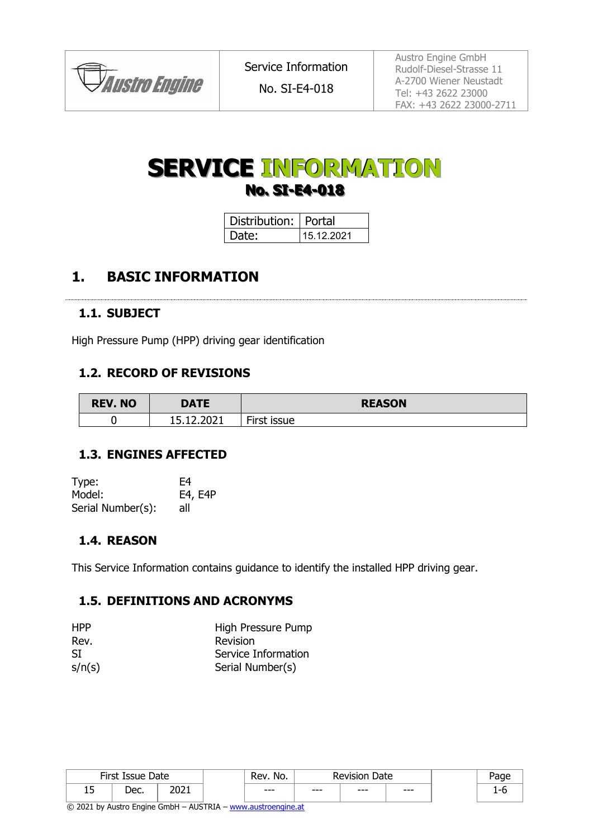

No. SI-E4-018

Austro Engine GmbH Rudolf-Diesel-Strasse 11 A-2700 Wiener Neustadt Tel: +43 2622 23000 FAX: +43 2622 23000-2711

# **SERVICE INFORMATION No. SI-E4-018**

| Distribution:   Portal |            |  |  |  |  |
|------------------------|------------|--|--|--|--|
| I Date:                | 15.12.2021 |  |  |  |  |

### **1. BASIC INFORMATION**

#### **1.1. SUBJECT**

High Pressure Pump (HPP) driving gear identification

#### **1.2. RECORD OF REVISIONS**

| <b>REV. NO</b> | <b>DATE</b>                             | <b>REASON</b> |
|----------------|-----------------------------------------|---------------|
|                | ירחר ו<br>IE 10.<br>-<br>Z.ZUZI<br>ᆂᇦᇵᆂ | First issue   |

#### **1.3. ENGINES AFFECTED**

| Type:             | F4      |
|-------------------|---------|
| Model:            | E4, E4P |
| Serial Number(s): | all     |

#### **1.4. REASON**

This Service Information contains guidance to identify the installed HPP driving gear.

#### **1.5. DEFINITIONS AND ACRONYMS**

| <b>HPP</b> | High Pressure Pump  |
|------------|---------------------|
| Rev.       | Revision            |
| SI         | Service Information |
| s/n(s)     | Serial Number(s)    |

|            | Sirch Tec<br>הככו וב<br>---- | Date | No.<br>Rev. | Date    |     | יחרΩ  |  |
|------------|------------------------------|------|-------------|---------|-----|-------|--|
| . .<br>ر 1 | רמו<br>◡◡                    | ∠∪∠⊥ | ---         | $- - -$ | --- | $---$ |  |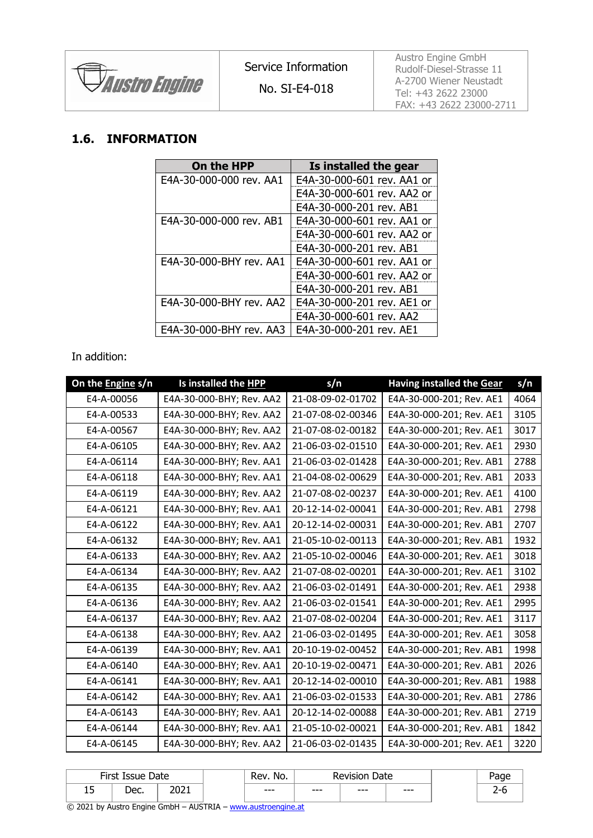

Austro Engine GmbH Rudolf-Diesel-Strasse 11 A-2700 Wiener Neustadt Tel: +43 2622 23000 FAX: +43 2622 23000-2711

#### **1.6. INFORMATION**

| On the HPP              | Is installed the gear      |
|-------------------------|----------------------------|
| E4A-30-000-000 rev. AA1 | E4A-30-000-601 rev. AA1 or |
|                         | E4A-30-000-601 rev. AA2 or |
|                         | E4A-30-000-201 rev. AB1    |
| E4A-30-000-000 rev. AB1 | E4A-30-000-601 rev. AA1 or |
|                         | E4A-30-000-601 rev. AA2 or |
|                         | E4A-30-000-201 rev. AB1    |
| E4A-30-000-BHY rev. AA1 | E4A-30-000-601 rev. AA1 or |
|                         | E4A-30-000-601 rev. AA2 or |
|                         | E4A-30-000-201 rev. AB1    |
| E4A-30-000-BHY rev. AA2 | E4A-30-000-201 rev. AE1 or |
|                         | E4A-30-000-601 rev. AA2    |
| E4A-30-000-BHY rev. AA3 | E4A-30-000-201 rev. AE1    |

In addition:

| On the Engine s/n | Is installed the HPP     | s/n               | <b>Having installed the Gear</b> | s/n  |
|-------------------|--------------------------|-------------------|----------------------------------|------|
| E4-A-00056        | E4A-30-000-BHY; Rev. AA2 | 21-08-09-02-01702 | E4A-30-000-201; Rev. AE1         | 4064 |
| E4-A-00533        | E4A-30-000-BHY; Rev. AA2 | 21-07-08-02-00346 | E4A-30-000-201; Rev. AE1         | 3105 |
| E4-A-00567        | E4A-30-000-BHY; Rev. AA2 | 21-07-08-02-00182 | E4A-30-000-201; Rev. AE1         | 3017 |
| E4-A-06105        | E4A-30-000-BHY; Rev. AA2 | 21-06-03-02-01510 | E4A-30-000-201; Rev. AE1         | 2930 |
| E4-A-06114        | E4A-30-000-BHY; Rev. AA1 | 21-06-03-02-01428 | E4A-30-000-201; Rev. AB1         | 2788 |
| E4-A-06118        | E4A-30-000-BHY; Rev. AA1 | 21-04-08-02-00629 | E4A-30-000-201; Rev. AB1         | 2033 |
| E4-A-06119        | E4A-30-000-BHY; Rev. AA2 | 21-07-08-02-00237 | E4A-30-000-201; Rev. AE1         | 4100 |
| E4-A-06121        | E4A-30-000-BHY; Rev. AA1 | 20-12-14-02-00041 | E4A-30-000-201; Rev. AB1         | 2798 |
| E4-A-06122        | E4A-30-000-BHY; Rev. AA1 | 20-12-14-02-00031 | E4A-30-000-201; Rev. AB1         | 2707 |
| E4-A-06132        | E4A-30-000-BHY; Rev. AA1 | 21-05-10-02-00113 | E4A-30-000-201; Rev. AB1         | 1932 |
| E4-A-06133        | E4A-30-000-BHY; Rev. AA2 | 21-05-10-02-00046 | E4A-30-000-201; Rev. AE1         | 3018 |
| E4-A-06134        | E4A-30-000-BHY; Rev. AA2 | 21-07-08-02-00201 | E4A-30-000-201; Rev. AE1         | 3102 |
| E4-A-06135        | E4A-30-000-BHY; Rev. AA2 | 21-06-03-02-01491 | E4A-30-000-201; Rev. AE1         | 2938 |
| E4-A-06136        | E4A-30-000-BHY; Rev. AA2 | 21-06-03-02-01541 | E4A-30-000-201; Rev. AE1         | 2995 |
| E4-A-06137        | E4A-30-000-BHY; Rev. AA2 | 21-07-08-02-00204 | E4A-30-000-201; Rev. AE1         | 3117 |
| E4-A-06138        | E4A-30-000-BHY; Rev. AA2 | 21-06-03-02-01495 | E4A-30-000-201; Rev. AE1         | 3058 |
| E4-A-06139        | E4A-30-000-BHY; Rev. AA1 | 20-10-19-02-00452 | E4A-30-000-201; Rev. AB1         | 1998 |
| E4-A-06140        | E4A-30-000-BHY; Rev. AA1 | 20-10-19-02-00471 | E4A-30-000-201; Rev. AB1         | 2026 |
| E4-A-06141        | E4A-30-000-BHY; Rev. AA1 | 20-12-14-02-00010 | E4A-30-000-201; Rev. AB1         | 1988 |
| E4-A-06142        | E4A-30-000-BHY; Rev. AA1 | 21-06-03-02-01533 | E4A-30-000-201; Rev. AB1         | 2786 |
| E4-A-06143        | E4A-30-000-BHY; Rev. AA1 | 20-12-14-02-00088 | E4A-30-000-201; Rev. AB1         | 2719 |
| E4-A-06144        | E4A-30-000-BHY; Rev. AA1 | 21-05-10-02-00021 | E4A-30-000-201; Rev. AB1         | 1842 |
| E4-A-06145        | E4A-30-000-BHY; Rev. AA2 | 21-06-03-02-01435 | E4A-30-000-201; Rev. AE1         | 3220 |

| Firct  | Issue              | Date               | No.<br>Rev | Date<br>Revision |            |     |          |
|--------|--------------------|--------------------|------------|------------------|------------|-----|----------|
| -<br>∸ | $P^{\alpha}$<br>∼∼ | 2021<br>ᅀᄖ<br>---- | $--$       | $- - -$          | ---<br>--- | --- | <u>_</u> |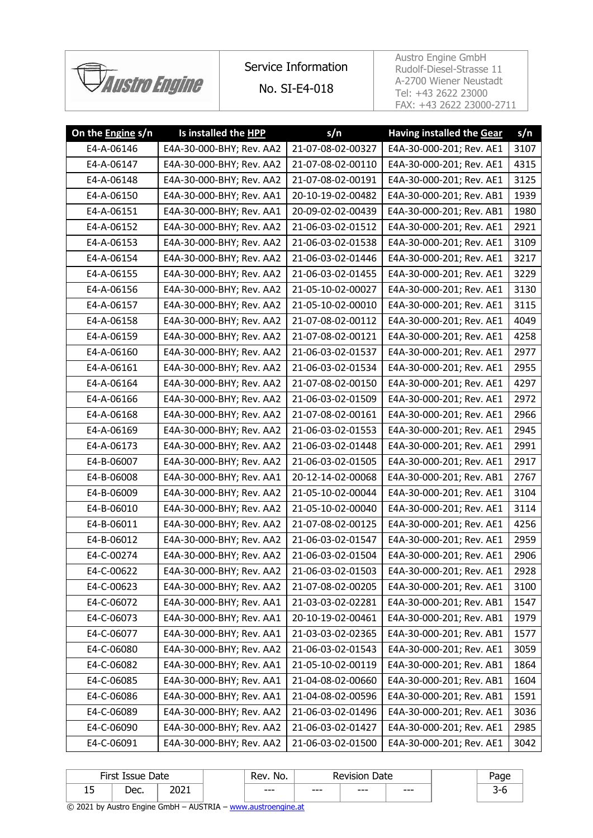

# Service Information

No. SI-E4-018

Austro Engine GmbH Rudolf-Diesel-Strasse 11 A-2700 Wiener Neustadt Tel: +43 2622 23000 FAX: +43 2622 23000-2711

| On the Engine s/n | Is installed the HPP     | s/n               | <b>Having installed the Gear</b> | s/n  |
|-------------------|--------------------------|-------------------|----------------------------------|------|
| E4-A-06146        | E4A-30-000-BHY; Rev. AA2 | 21-07-08-02-00327 | E4A-30-000-201; Rev. AE1         | 3107 |
| E4-A-06147        | E4A-30-000-BHY; Rev. AA2 | 21-07-08-02-00110 | E4A-30-000-201; Rev. AE1         | 4315 |
| E4-A-06148        | E4A-30-000-BHY; Rev. AA2 | 21-07-08-02-00191 | E4A-30-000-201; Rev. AE1         | 3125 |
| E4-A-06150        | E4A-30-000-BHY; Rev. AA1 | 20-10-19-02-00482 | E4A-30-000-201; Rev. AB1         | 1939 |
| E4-A-06151        | E4A-30-000-BHY; Rev. AA1 | 20-09-02-02-00439 | E4A-30-000-201; Rev. AB1         | 1980 |
| E4-A-06152        | E4A-30-000-BHY; Rev. AA2 | 21-06-03-02-01512 | E4A-30-000-201; Rev. AE1         | 2921 |
| E4-A-06153        | E4A-30-000-BHY; Rev. AA2 | 21-06-03-02-01538 | E4A-30-000-201; Rev. AE1         | 3109 |
| E4-A-06154        | E4A-30-000-BHY; Rev. AA2 | 21-06-03-02-01446 | E4A-30-000-201; Rev. AE1         | 3217 |
| E4-A-06155        | E4A-30-000-BHY; Rev. AA2 | 21-06-03-02-01455 | E4A-30-000-201; Rev. AE1         | 3229 |
| E4-A-06156        | E4A-30-000-BHY; Rev. AA2 | 21-05-10-02-00027 | E4A-30-000-201; Rev. AE1         | 3130 |
| E4-A-06157        | E4A-30-000-BHY; Rev. AA2 | 21-05-10-02-00010 | E4A-30-000-201; Rev. AE1         | 3115 |
| E4-A-06158        | E4A-30-000-BHY; Rev. AA2 | 21-07-08-02-00112 | E4A-30-000-201; Rev. AE1         | 4049 |
| E4-A-06159        | E4A-30-000-BHY; Rev. AA2 | 21-07-08-02-00121 | E4A-30-000-201; Rev. AE1         | 4258 |
| E4-A-06160        | E4A-30-000-BHY; Rev. AA2 | 21-06-03-02-01537 | E4A-30-000-201; Rev. AE1         | 2977 |
| E4-A-06161        | E4A-30-000-BHY; Rev. AA2 | 21-06-03-02-01534 | E4A-30-000-201; Rev. AE1         | 2955 |
| E4-A-06164        | E4A-30-000-BHY; Rev. AA2 | 21-07-08-02-00150 | E4A-30-000-201; Rev. AE1         | 4297 |
| E4-A-06166        | E4A-30-000-BHY; Rev. AA2 | 21-06-03-02-01509 | E4A-30-000-201; Rev. AE1         | 2972 |
| E4-A-06168        | E4A-30-000-BHY; Rev. AA2 | 21-07-08-02-00161 | E4A-30-000-201; Rev. AE1         | 2966 |
| E4-A-06169        | E4A-30-000-BHY; Rev. AA2 | 21-06-03-02-01553 | E4A-30-000-201; Rev. AE1         | 2945 |
| E4-A-06173        | E4A-30-000-BHY; Rev. AA2 | 21-06-03-02-01448 | E4A-30-000-201; Rev. AE1         | 2991 |
| E4-B-06007        | E4A-30-000-BHY; Rev. AA2 | 21-06-03-02-01505 | E4A-30-000-201; Rev. AE1         | 2917 |
| E4-B-06008        | E4A-30-000-BHY; Rev. AA1 | 20-12-14-02-00068 | E4A-30-000-201; Rev. AB1         | 2767 |
| E4-B-06009        | E4A-30-000-BHY; Rev. AA2 | 21-05-10-02-00044 | E4A-30-000-201; Rev. AE1         | 3104 |
| E4-B-06010        | E4A-30-000-BHY; Rev. AA2 | 21-05-10-02-00040 | E4A-30-000-201; Rev. AE1         | 3114 |
| E4-B-06011        | E4A-30-000-BHY; Rev. AA2 | 21-07-08-02-00125 | E4A-30-000-201; Rev. AE1         | 4256 |
| E4-B-06012        | E4A-30-000-BHY; Rev. AA2 | 21-06-03-02-01547 | E4A-30-000-201; Rev. AE1         | 2959 |
| E4-C-00274        | E4A-30-000-BHY; Rev. AA2 | 21-06-03-02-01504 | E4A-30-000-201; Rev. AE1         | 2906 |
| E4-C-00622        | E4A-30-000-BHY; Rev. AA2 | 21-06-03-02-01503 | E4A-30-000-201; Rev. AE1         | 2928 |
| E4-C-00623        | E4A-30-000-BHY; Rev. AA2 | 21-07-08-02-00205 | E4A-30-000-201; Rev. AE1         | 3100 |
| E4-C-06072        | E4A-30-000-BHY; Rev. AA1 | 21-03-03-02-02281 | E4A-30-000-201; Rev. AB1         | 1547 |
| E4-C-06073        | E4A-30-000-BHY; Rev. AA1 | 20-10-19-02-00461 | E4A-30-000-201; Rev. AB1         | 1979 |
| E4-C-06077        | E4A-30-000-BHY; Rev. AA1 | 21-03-03-02-02365 | E4A-30-000-201; Rev. AB1         | 1577 |
| E4-C-06080        | E4A-30-000-BHY; Rev. AA2 | 21-06-03-02-01543 | E4A-30-000-201; Rev. AE1         | 3059 |
| E4-C-06082        | E4A-30-000-BHY; Rev. AA1 | 21-05-10-02-00119 | E4A-30-000-201; Rev. AB1         | 1864 |
| E4-C-06085        | E4A-30-000-BHY; Rev. AA1 | 21-04-08-02-00660 | E4A-30-000-201; Rev. AB1         | 1604 |
| E4-C-06086        | E4A-30-000-BHY; Rev. AA1 | 21-04-08-02-00596 | E4A-30-000-201; Rev. AB1         | 1591 |
| E4-C-06089        | E4A-30-000-BHY; Rev. AA2 | 21-06-03-02-01496 | E4A-30-000-201; Rev. AE1         | 3036 |
| E4-C-06090        | E4A-30-000-BHY; Rev. AA2 | 21-06-03-02-01427 | E4A-30-000-201; Rev. AE1         | 2985 |
| E4-C-06091        | E4A-30-000-BHY; Rev. AA2 | 21-06-03-02-01500 | E4A-30-000-201; Rev. AE1         | 3042 |

|          | First Issue Date |      | No.<br>Rev. | Date<br><b>Revision</b> |         | ההבנ |        |
|----------|------------------|------|-------------|-------------------------|---------|------|--------|
| --<br>∸~ | חמו<br>◡◡        | 2021 | $- - -$     | $- - -$                 | $- - -$ | ---  | ∽<br>ັ |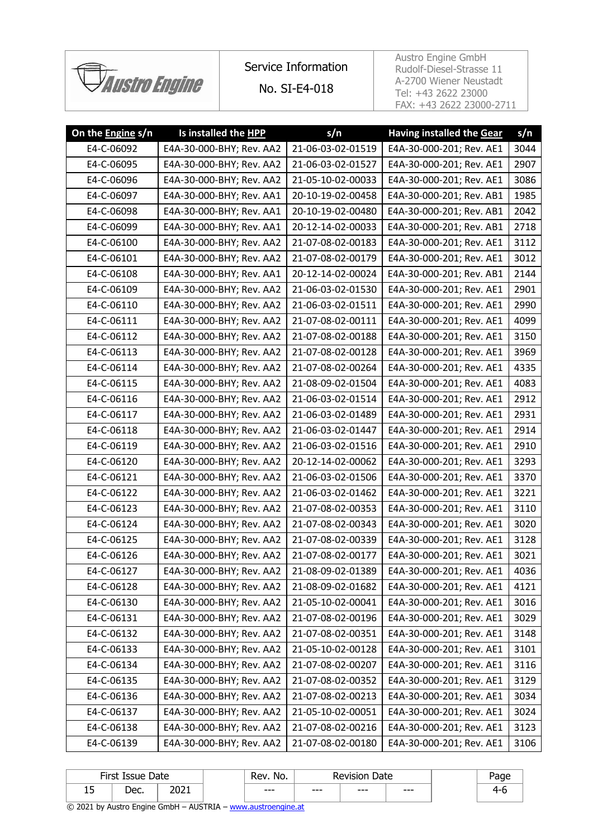

# Service Information

No. SI-E4-018

Austro Engine GmbH Rudolf-Diesel-Strasse 11 A-2700 Wiener Neustadt Tel: +43 2622 23000 FAX: +43 2622 23000-2711

| On the Engine s/n | Is installed the HPP     | s/n               | <b>Having installed the Gear</b> | s/n  |
|-------------------|--------------------------|-------------------|----------------------------------|------|
| E4-C-06092        | E4A-30-000-BHY; Rev. AA2 | 21-06-03-02-01519 | E4A-30-000-201; Rev. AE1         | 3044 |
| E4-C-06095        | E4A-30-000-BHY; Rev. AA2 | 21-06-03-02-01527 | E4A-30-000-201; Rev. AE1         | 2907 |
| E4-C-06096        | E4A-30-000-BHY; Rev. AA2 | 21-05-10-02-00033 | E4A-30-000-201; Rev. AE1         | 3086 |
| E4-C-06097        | E4A-30-000-BHY; Rev. AA1 | 20-10-19-02-00458 | E4A-30-000-201; Rev. AB1         | 1985 |
| E4-C-06098        | E4A-30-000-BHY; Rev. AA1 | 20-10-19-02-00480 | E4A-30-000-201; Rev. AB1         | 2042 |
| E4-C-06099        | E4A-30-000-BHY; Rev. AA1 | 20-12-14-02-00033 | E4A-30-000-201; Rev. AB1         | 2718 |
| E4-C-06100        | E4A-30-000-BHY; Rev. AA2 | 21-07-08-02-00183 | E4A-30-000-201; Rev. AE1         | 3112 |
| E4-C-06101        | E4A-30-000-BHY; Rev. AA2 | 21-07-08-02-00179 | E4A-30-000-201; Rev. AE1         | 3012 |
| E4-C-06108        | E4A-30-000-BHY; Rev. AA1 | 20-12-14-02-00024 | E4A-30-000-201; Rev. AB1         | 2144 |
| E4-C-06109        | E4A-30-000-BHY; Rev. AA2 | 21-06-03-02-01530 | E4A-30-000-201; Rev. AE1         | 2901 |
| E4-C-06110        | E4A-30-000-BHY; Rev. AA2 | 21-06-03-02-01511 | E4A-30-000-201; Rev. AE1         | 2990 |
| E4-C-06111        | E4A-30-000-BHY; Rev. AA2 | 21-07-08-02-00111 | E4A-30-000-201; Rev. AE1         | 4099 |
| E4-C-06112        | E4A-30-000-BHY; Rev. AA2 | 21-07-08-02-00188 | E4A-30-000-201; Rev. AE1         | 3150 |
| E4-C-06113        | E4A-30-000-BHY; Rev. AA2 | 21-07-08-02-00128 | E4A-30-000-201; Rev. AE1         | 3969 |
| E4-C-06114        | E4A-30-000-BHY; Rev. AA2 | 21-07-08-02-00264 | E4A-30-000-201; Rev. AE1         | 4335 |
| E4-C-06115        | E4A-30-000-BHY; Rev. AA2 | 21-08-09-02-01504 | E4A-30-000-201; Rev. AE1         | 4083 |
| E4-C-06116        | E4A-30-000-BHY; Rev. AA2 | 21-06-03-02-01514 | E4A-30-000-201; Rev. AE1         | 2912 |
| E4-C-06117        | E4A-30-000-BHY; Rev. AA2 | 21-06-03-02-01489 | E4A-30-000-201; Rev. AE1         | 2931 |
| E4-C-06118        | E4A-30-000-BHY; Rev. AA2 | 21-06-03-02-01447 | E4A-30-000-201; Rev. AE1         | 2914 |
| E4-C-06119        | E4A-30-000-BHY; Rev. AA2 | 21-06-03-02-01516 | E4A-30-000-201; Rev. AE1         | 2910 |
| E4-C-06120        | E4A-30-000-BHY; Rev. AA2 | 20-12-14-02-00062 | E4A-30-000-201; Rev. AE1         | 3293 |
| E4-C-06121        | E4A-30-000-BHY; Rev. AA2 | 21-06-03-02-01506 | E4A-30-000-201; Rev. AE1         | 3370 |
| E4-C-06122        | E4A-30-000-BHY; Rev. AA2 | 21-06-03-02-01462 | E4A-30-000-201; Rev. AE1         | 3221 |
| E4-C-06123        | E4A-30-000-BHY; Rev. AA2 | 21-07-08-02-00353 | E4A-30-000-201; Rev. AE1         | 3110 |
| E4-C-06124        | E4A-30-000-BHY; Rev. AA2 | 21-07-08-02-00343 | E4A-30-000-201; Rev. AE1         | 3020 |
| E4-C-06125        | E4A-30-000-BHY; Rev. AA2 | 21-07-08-02-00339 | E4A-30-000-201; Rev. AE1         | 3128 |
| E4-C-06126        | E4A-30-000-BHY; Rev. AA2 | 21-07-08-02-00177 | E4A-30-000-201; Rev. AE1         | 3021 |
| E4-C-06127        | E4A-30-000-BHY; Rev. AA2 | 21-08-09-02-01389 | E4A-30-000-201; Rev. AE1         | 4036 |
| E4-C-06128        | E4A-30-000-BHY; Rev. AA2 | 21-08-09-02-01682 | E4A-30-000-201; Rev. AE1         | 4121 |
| E4-C-06130        | E4A-30-000-BHY; Rev. AA2 | 21-05-10-02-00041 | E4A-30-000-201; Rev. AE1         | 3016 |
| E4-C-06131        | E4A-30-000-BHY; Rev. AA2 | 21-07-08-02-00196 | E4A-30-000-201; Rev. AE1         | 3029 |
| E4-C-06132        | E4A-30-000-BHY; Rev. AA2 | 21-07-08-02-00351 | E4A-30-000-201; Rev. AE1         | 3148 |
| E4-C-06133        | E4A-30-000-BHY; Rev. AA2 | 21-05-10-02-00128 | E4A-30-000-201; Rev. AE1         | 3101 |
| E4-C-06134        | E4A-30-000-BHY; Rev. AA2 | 21-07-08-02-00207 | E4A-30-000-201; Rev. AE1         | 3116 |
| E4-C-06135        | E4A-30-000-BHY; Rev. AA2 | 21-07-08-02-00352 | E4A-30-000-201; Rev. AE1         | 3129 |
| E4-C-06136        | E4A-30-000-BHY; Rev. AA2 | 21-07-08-02-00213 | E4A-30-000-201; Rev. AE1         | 3034 |
| E4-C-06137        | E4A-30-000-BHY; Rev. AA2 | 21-05-10-02-00051 | E4A-30-000-201; Rev. AE1         | 3024 |
| E4-C-06138        | E4A-30-000-BHY; Rev. AA2 | 21-07-08-02-00216 | E4A-30-000-201; Rev. AE1         | 3123 |
| E4-C-06139        | E4A-30-000-BHY; Rev. AA2 | 21-07-08-02-00180 | E4A-30-000-201; Rev. AE1         | 3106 |
|                   |                          |                   |                                  |      |

|         | First Issue Date |      | No.<br>Rev. | Date<br><b>Revision</b> |         | aae |            |
|---------|------------------|------|-------------|-------------------------|---------|-----|------------|
| -<br>∸~ | חמו<br>◡◡        | 2021 | $- - -$     | $- - -$                 | $- - -$ | --- | <b>4-1</b> |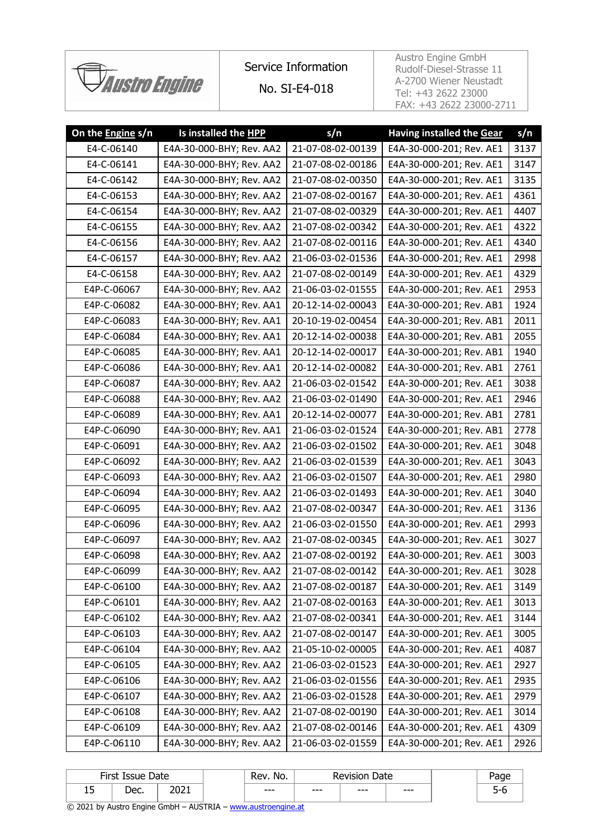

## Service Information

No. SI-E4-018

Austro Engine GmbH Rudolf-Diesel-Strasse 11 A-2700 Wiener Neustadt Tel: +43 2622 23000 FAX: +43 2622 23000-2711

| On the Engine s/n | Is installed the HPP     | s/n               | <b>Having installed the Gear</b> | s/n  |
|-------------------|--------------------------|-------------------|----------------------------------|------|
| E4-C-06140        | E4A-30-000-BHY; Rev. AA2 | 21-07-08-02-00139 | E4A-30-000-201; Rev. AE1         | 3137 |
| E4-C-06141        | E4A-30-000-BHY; Rev. AA2 | 21-07-08-02-00186 | E4A-30-000-201; Rev. AE1         | 3147 |
| E4-C-06142        | E4A-30-000-BHY; Rev. AA2 | 21-07-08-02-00350 | E4A-30-000-201; Rev. AE1         | 3135 |
| E4-C-06153        | E4A-30-000-BHY; Rev. AA2 | 21-07-08-02-00167 | E4A-30-000-201; Rev. AE1         | 4361 |
| E4-C-06154        | E4A-30-000-BHY; Rev. AA2 | 21-07-08-02-00329 | E4A-30-000-201; Rev. AE1         | 4407 |
| E4-C-06155        | E4A-30-000-BHY; Rev. AA2 | 21-07-08-02-00342 | E4A-30-000-201; Rev. AE1         | 4322 |
| E4-C-06156        | E4A-30-000-BHY; Rev. AA2 | 21-07-08-02-00116 | E4A-30-000-201; Rev. AE1         | 4340 |
| E4-C-06157        | E4A-30-000-BHY; Rev. AA2 | 21-06-03-02-01536 | E4A-30-000-201; Rev. AE1         | 2998 |
| E4-C-06158        | E4A-30-000-BHY; Rev. AA2 | 21-07-08-02-00149 | E4A-30-000-201; Rev. AE1         | 4329 |
| E4P-C-06067       | E4A-30-000-BHY; Rev. AA2 | 21-06-03-02-01555 | E4A-30-000-201; Rev. AE1         | 2953 |
| E4P-C-06082       | E4A-30-000-BHY; Rev. AA1 | 20-12-14-02-00043 | E4A-30-000-201; Rev. AB1         | 1924 |
| E4P-C-06083       | E4A-30-000-BHY; Rev. AA1 | 20-10-19-02-00454 | E4A-30-000-201; Rev. AB1         | 2011 |
| E4P-C-06084       | E4A-30-000-BHY; Rev. AA1 | 20-12-14-02-00038 | E4A-30-000-201; Rev. AB1         | 2055 |
| E4P-C-06085       | E4A-30-000-BHY; Rev. AA1 | 20-12-14-02-00017 | E4A-30-000-201; Rev. AB1         | 1940 |
| E4P-C-06086       | E4A-30-000-BHY; Rev. AA1 | 20-12-14-02-00082 | E4A-30-000-201; Rev. AB1         | 2761 |
| E4P-C-06087       | E4A-30-000-BHY; Rev. AA2 | 21-06-03-02-01542 | E4A-30-000-201; Rev. AE1         | 3038 |
| E4P-C-06088       | E4A-30-000-BHY; Rev. AA2 | 21-06-03-02-01490 | E4A-30-000-201; Rev. AE1         | 2946 |
| E4P-C-06089       | E4A-30-000-BHY; Rev. AA1 | 20-12-14-02-00077 | E4A-30-000-201; Rev. AB1         | 2781 |
| E4P-C-06090       | E4A-30-000-BHY; Rev. AA1 | 21-06-03-02-01524 | E4A-30-000-201; Rev. AB1         | 2778 |
| E4P-C-06091       | E4A-30-000-BHY; Rev. AA2 | 21-06-03-02-01502 | E4A-30-000-201; Rev. AE1         | 3048 |
| E4P-C-06092       | E4A-30-000-BHY; Rev. AA2 | 21-06-03-02-01539 | E4A-30-000-201; Rev. AE1         | 3043 |
| E4P-C-06093       | E4A-30-000-BHY; Rev. AA2 | 21-06-03-02-01507 | E4A-30-000-201; Rev. AE1         | 2980 |
| E4P-C-06094       | E4A-30-000-BHY; Rev. AA2 | 21-06-03-02-01493 | E4A-30-000-201; Rev. AE1         | 3040 |
| E4P-C-06095       | E4A-30-000-BHY; Rev. AA2 | 21-07-08-02-00347 | E4A-30-000-201; Rev. AE1         | 3136 |
| E4P-C-06096       | E4A-30-000-BHY; Rev. AA2 | 21-06-03-02-01550 | E4A-30-000-201; Rev. AE1         | 2993 |
| E4P-C-06097       | E4A-30-000-BHY; Rev. AA2 | 21-07-08-02-00345 | E4A-30-000-201; Rev. AE1         | 3027 |
| E4P-C-06098       | E4A-30-000-BHY; Rev. AA2 | 21-07-08-02-00192 | E4A-30-000-201; Rev. AE1         | 3003 |
| E4P-C-06099       | E4A-30-000-BHY; Rev. AA2 | 21-07-08-02-00142 | E4A-30-000-201; Rev. AE1         | 3028 |
| E4P-C-06100       | E4A-30-000-BHY; Rev. AA2 | 21-07-08-02-00187 | E4A-30-000-201; Rev. AE1         | 3149 |
| E4P-C-06101       | E4A-30-000-BHY; Rev. AA2 | 21-07-08-02-00163 | E4A-30-000-201; Rev. AE1         | 3013 |
| E4P-C-06102       | E4A-30-000-BHY; Rev. AA2 | 21-07-08-02-00341 | E4A-30-000-201; Rev. AE1         | 3144 |
| E4P-C-06103       | E4A-30-000-BHY; Rev. AA2 | 21-07-08-02-00147 | E4A-30-000-201; Rev. AE1         | 3005 |
| E4P-C-06104       | E4A-30-000-BHY; Rev. AA2 | 21-05-10-02-00005 | E4A-30-000-201; Rev. AE1         | 4087 |
| E4P-C-06105       | E4A-30-000-BHY; Rev. AA2 | 21-06-03-02-01523 | E4A-30-000-201; Rev. AE1         | 2927 |
| E4P-C-06106       | E4A-30-000-BHY; Rev. AA2 | 21-06-03-02-01556 | E4A-30-000-201; Rev. AE1         | 2935 |
| E4P-C-06107       | E4A-30-000-BHY; Rev. AA2 | 21-06-03-02-01528 | E4A-30-000-201; Rev. AE1         | 2979 |
| E4P-C-06108       | E4A-30-000-BHY; Rev. AA2 | 21-07-08-02-00190 | E4A-30-000-201; Rev. AE1         | 3014 |
| E4P-C-06109       | E4A-30-000-BHY; Rev. AA2 | 21-07-08-02-00146 | E4A-30-000-201; Rev. AE1         | 4309 |
| E4P-C-06110       | E4A-30-000-BHY; Rev. AA2 | 21-06-03-02-01559 | E4A-30-000-201; Rev. AE1         | 2926 |

| Siret Tec<br>Date<br>Issue<br>11 J L |             | No.<br>-<br>Rev        | Date<br>Revision |         | aue |       |   |
|--------------------------------------|-------------|------------------------|------------------|---------|-----|-------|---|
| -<br>∸~                              | חבו<br>レマン・ | ור∩ר<br>LULI<br>______ | ---<br>---       | $- - -$ | --- | $---$ | ັ |